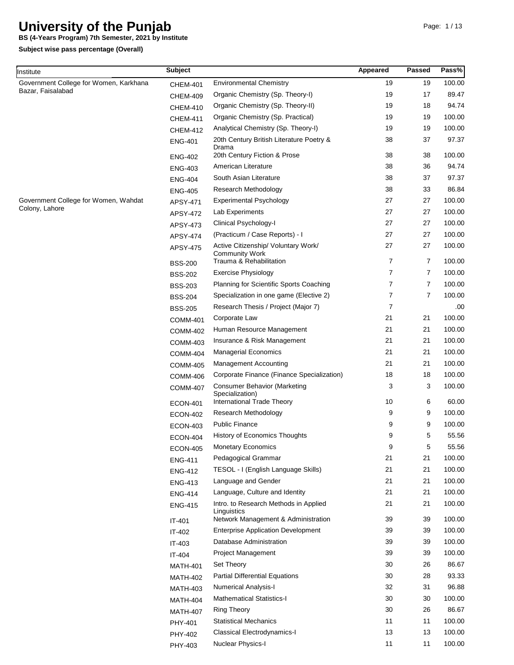**BS (4-Years Program) 7th Semester, 2021 by Institute**

| Institute                              | <b>Subject</b>  |                                                              | Appeared | Passed         | Pass%  |
|----------------------------------------|-----------------|--------------------------------------------------------------|----------|----------------|--------|
| Government College for Women, Karkhana | <b>CHEM-401</b> | <b>Environmental Chemistry</b>                               | 19       | 19             | 100.00 |
| Bazar, Faisalabad                      | <b>CHEM-409</b> | Organic Chemistry (Sp. Theory-I)                             | 19       | 17             | 89.47  |
|                                        | <b>CHEM-410</b> | Organic Chemistry (Sp. Theory-II)                            | 19       | 18             | 94.74  |
|                                        | <b>CHEM-411</b> | Organic Chemistry (Sp. Practical)                            | 19       | 19             | 100.00 |
|                                        | <b>CHEM-412</b> | Analytical Chemistry (Sp. Theory-I)                          | 19       | 19             | 100.00 |
|                                        | <b>ENG-401</b>  | 20th Century British Literature Poetry &<br>Drama            | 38       | 37             | 97.37  |
|                                        | <b>ENG-402</b>  | 20th Century Fiction & Prose                                 | 38       | 38             | 100.00 |
|                                        | <b>ENG-403</b>  | American Literature                                          | 38       | 36             | 94.74  |
|                                        | <b>ENG-404</b>  | South Asian Literature                                       | 38       | 37             | 97.37  |
|                                        | <b>ENG-405</b>  | Research Methodology                                         | 38       | 33             | 86.84  |
| Government College for Women, Wahdat   | APSY-471        | <b>Experimental Psychology</b>                               | 27       | 27             | 100.00 |
| Colony, Lahore                         | APSY-472        | Lab Experiments                                              | 27       | 27             | 100.00 |
|                                        | APSY-473        | Clinical Psychology-I                                        | 27       | 27             | 100.00 |
|                                        | <b>APSY-474</b> | (Practicum / Case Reports) - I                               | 27       | 27             | 100.00 |
|                                        | APSY-475        | Active Citizenship/ Voluntary Work/<br><b>Community Work</b> | 27       | 27             | 100.00 |
|                                        | <b>BSS-200</b>  | Trauma & Rehabilitation                                      | 7        | 7              | 100.00 |
|                                        | <b>BSS-202</b>  | <b>Exercise Physiology</b>                                   | 7        | 7              | 100.00 |
|                                        | <b>BSS-203</b>  | Planning for Scientific Sports Coaching                      | 7        | 7              | 100.00 |
|                                        | <b>BSS-204</b>  | Specialization in one game (Elective 2)                      | 7        | $\overline{7}$ | 100.00 |
|                                        | <b>BSS-205</b>  | Research Thesis / Project (Major 7)                          | 7        |                | .00    |
|                                        | <b>COMM-401</b> | Corporate Law                                                | 21       | 21             | 100.00 |
|                                        | <b>COMM-402</b> | Human Resource Management                                    | 21       | 21             | 100.00 |
|                                        | <b>COMM-403</b> | Insurance & Risk Management                                  | 21       | 21             | 100.00 |
|                                        | <b>COMM-404</b> | <b>Managerial Economics</b>                                  | 21       | 21             | 100.00 |
|                                        | <b>COMM-405</b> | Management Accounting                                        | 21       | 21             | 100.00 |
|                                        | <b>COMM-406</b> | Corporate Finance (Finance Specialization)                   | 18       | 18             | 100.00 |
|                                        | <b>COMM-407</b> | <b>Consumer Behavior (Marketing</b><br>Specialization)       | 3        | 3              | 100.00 |
|                                        | <b>ECON-401</b> | International Trade Theory                                   | 10       | 6              | 60.00  |
|                                        | <b>ECON-402</b> | Research Methodology                                         | 9        | 9              | 100.00 |
|                                        | <b>ECON-403</b> | <b>Public Finance</b>                                        | 9        | 9              | 100.00 |
|                                        | <b>ECON-404</b> | <b>History of Economics Thoughts</b>                         | 9        | 5              | 55.56  |
|                                        | <b>ECON-405</b> | <b>Monetary Economics</b>                                    | 9        | 5              | 55.56  |
|                                        | <b>ENG-411</b>  | Pedagogical Grammar                                          | 21       | 21             | 100.00 |
|                                        | <b>ENG-412</b>  | TESOL - I (English Language Skills)                          | 21       | 21             | 100.00 |
|                                        | <b>ENG-413</b>  | Language and Gender                                          | 21       | 21             | 100.00 |
|                                        | <b>ENG-414</b>  | Language, Culture and Identity                               | 21       | 21             | 100.00 |
|                                        | <b>ENG-415</b>  | Intro. to Research Methods in Applied<br>Linguistics         | 21       | 21             | 100.00 |
|                                        | IT-401          | Network Management & Administration                          | 39       | 39             | 100.00 |
|                                        | IT-402          | <b>Enterprise Application Development</b>                    | 39       | 39             | 100.00 |
|                                        | IT-403          | Database Administration                                      | 39       | 39             | 100.00 |
|                                        | IT-404          | Project Management                                           | 39       | 39             | 100.00 |
|                                        | <b>MATH-401</b> | Set Theory                                                   | 30       | 26             | 86.67  |
|                                        | <b>MATH-402</b> | <b>Partial Differential Equations</b>                        | 30       | 28             | 93.33  |
|                                        | <b>MATH-403</b> | <b>Numerical Analysis-I</b>                                  | 32       | 31             | 96.88  |
|                                        | <b>MATH-404</b> | <b>Mathematical Statistics-I</b>                             | 30       | 30             | 100.00 |
|                                        | <b>MATH-407</b> | Ring Theory                                                  | 30       | 26             | 86.67  |
|                                        | PHY-401         | <b>Statistical Mechanics</b>                                 | 11       | 11             | 100.00 |
|                                        | PHY-402         | Classical Electrodynamics-I                                  | 13       | 13             | 100.00 |
|                                        | PHY-403         | Nuclear Physics-I                                            | 11       | 11             | 100.00 |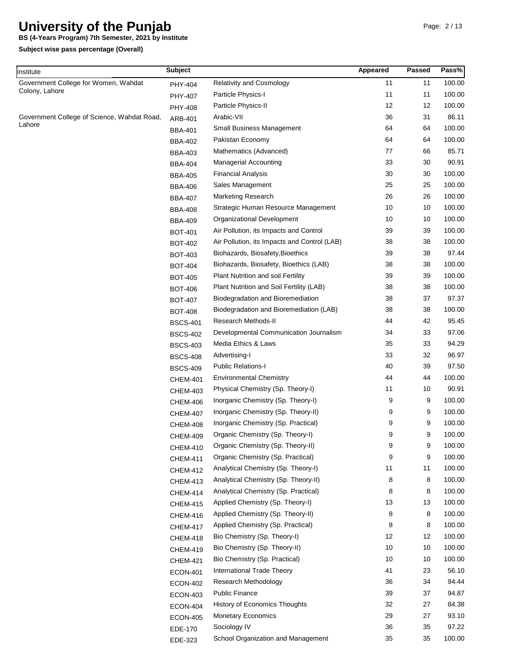**BS (4-Years Program) 7th Semester, 2021 by Institute**

| Institute                                   | <b>Subject</b>  |                                              | Appeared | Passed | Pass%  |
|---------------------------------------------|-----------------|----------------------------------------------|----------|--------|--------|
| Government College for Women, Wahdat        | PHY-404         | <b>Relativity and Cosmology</b>              | 11       | 11     | 100.00 |
| Colony, Lahore                              | PHY-407         | Particle Physics-I                           | 11       | 11     | 100.00 |
|                                             | <b>PHY-408</b>  | Particle Physics-II                          | 12       | 12     | 100.00 |
| Government College of Science, Wahdat Road, | ARB-401         | Arabic-VII                                   | 36       | 31     | 86.11  |
| Lahore                                      | BBA-401         | <b>Small Business Management</b>             | 64       | 64     | 100.00 |
|                                             | <b>BBA-402</b>  | Pakistan Economy                             | 64       | 64     | 100.00 |
|                                             | <b>BBA-403</b>  | Mathematics (Advanced)                       | 77       | 66     | 85.71  |
|                                             | <b>BBA-404</b>  | <b>Managerial Accounting</b>                 | 33       | 30     | 90.91  |
|                                             | <b>BBA-405</b>  | <b>Financial Analysis</b>                    | 30       | 30     | 100.00 |
|                                             | <b>BBA-406</b>  | Sales Management                             | 25       | 25     | 100.00 |
|                                             | <b>BBA-407</b>  | <b>Marketing Research</b>                    | 26       | 26     | 100.00 |
|                                             | <b>BBA-408</b>  | Strategic Human Resource Management          | 10       | 10     | 100.00 |
|                                             | BBA-409         | Organizational Development                   | 10       | 10     | 100.00 |
|                                             | <b>BOT-401</b>  | Air Pollution, its Impacts and Control       | 39       | 39     | 100.00 |
|                                             | <b>BOT-402</b>  | Air Pollution, its Impacts and Control (LAB) | 38       | 38     | 100.00 |
|                                             | <b>BOT-403</b>  | Biohazards, Biosafety, Bioethics             | 39       | 38     | 97.44  |
|                                             | <b>BOT-404</b>  | Biohazards, Biosafety, Bioethics (LAB)       | 38       | 38     | 100.00 |
|                                             | <b>BOT-405</b>  | Plant Nutrition and soil Fertility           | 39       | 39     | 100.00 |
|                                             | <b>BOT-406</b>  | Plant Nutrition and Soil Fertility (LAB)     | 38       | 38     | 100.00 |
|                                             | <b>BOT-407</b>  | Biodegradation and Bioremediation            | 38       | 37     | 97.37  |
|                                             | <b>BOT-408</b>  | Biodegradation and Bioremediation (LAB)      | 38       | 38     | 100.00 |
|                                             | <b>BSCS-401</b> | Research Methods-II                          | 44       | 42     | 95.45  |
|                                             | <b>BSCS-402</b> | Developmental Communication Journalism       | 34       | 33     | 97.06  |
|                                             | <b>BSCS-403</b> | Media Ethics & Laws                          | 35       | 33     | 94.29  |
|                                             | <b>BSCS-408</b> | Advertising-I                                | 33       | 32     | 96.97  |
|                                             | <b>BSCS-409</b> | <b>Public Relations-I</b>                    | 40       | 39     | 97.50  |
|                                             | <b>CHEM-401</b> | <b>Environmental Chemistry</b>               | 44       | 44     | 100.00 |
|                                             | <b>CHEM-403</b> | Physical Chemistry (Sp. Theory-I)            | 11       | 10     | 90.91  |
|                                             | <b>CHEM-406</b> | Inorganic Chemistry (Sp. Theory-I)           | 9        | 9      | 100.00 |
|                                             | <b>CHEM-407</b> | Inorganic Chemistry (Sp. Theory-II)          | 9        | 9      | 100.00 |
|                                             | <b>CHEM-408</b> | Inorganic Chemistry (Sp. Practical)          | 9        | 9      | 100.00 |
|                                             | <b>CHEM-409</b> | Organic Chemistry (Sp. Theory-I)             | 9        | 9      | 100.00 |
|                                             | <b>CHEM-410</b> | Organic Chemistry (Sp. Theory-II)            | 9        | 9      | 100.00 |
|                                             | <b>CHEM-411</b> | Organic Chemistry (Sp. Practical)            | 9        | 9      | 100.00 |
|                                             | <b>CHEM-412</b> | Analytical Chemistry (Sp. Theory-I)          | 11       | 11     | 100.00 |
|                                             | <b>CHEM-413</b> | Analytical Chemistry (Sp. Theory-II)         | 8        | 8      | 100.00 |
|                                             | <b>CHEM-414</b> | Analytical Chemistry (Sp. Practical)         | 8        | 8      | 100.00 |
|                                             | <b>CHEM-415</b> | Applied Chemistry (Sp. Theory-I)             | 13       | 13     | 100.00 |
|                                             | <b>CHEM-416</b> | Applied Chemistry (Sp. Theory-II)            | 8        | 8      | 100.00 |
|                                             | <b>CHEM-417</b> | Applied Chemistry (Sp. Practical)            | 8        | 8      | 100.00 |
|                                             | <b>CHEM-418</b> | Bio Chemistry (Sp. Theory-I)                 | 12       | 12     | 100.00 |
|                                             | <b>CHEM-419</b> | Bio Chemistry (Sp. Theory-II)                | 10       | 10     | 100.00 |
|                                             | <b>CHEM-421</b> | Bio Chemistry (Sp. Practical)                | 10       | 10     | 100.00 |
|                                             | <b>ECON-401</b> | International Trade Theory                   | 41       | 23     | 56.10  |
|                                             | <b>ECON-402</b> | Research Methodology                         | 36       | 34     | 94.44  |
|                                             | <b>ECON-403</b> | <b>Public Finance</b>                        | 39       | 37     | 94.87  |
|                                             | <b>ECON-404</b> | History of Economics Thoughts                | 32       | 27     | 84.38  |
|                                             | <b>ECON-405</b> | <b>Monetary Economics</b>                    | 29       | 27     | 93.10  |
|                                             | EDE-170         | Sociology IV                                 | 36       | 35     | 97.22  |
|                                             | EDE-323         | School Organization and Management           | 35       | 35     | 100.00 |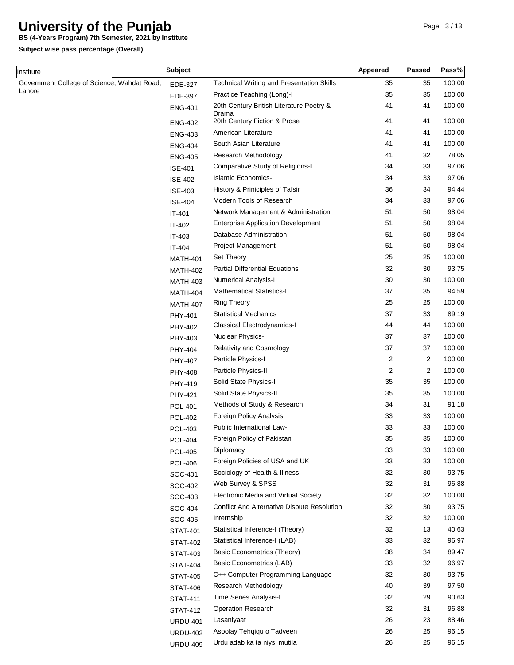**BS (4-Years Program) 7th Semester, 2021 by Institute**

**Subject wise pass percentage (Overall)**

**Institute** 

| nstitute                                    | <b>Subject</b>  |                                                  | Appeared | Passed         | Pass%  |
|---------------------------------------------|-----------------|--------------------------------------------------|----------|----------------|--------|
| Government College of Science, Wahdat Road, | EDE-327         | <b>Technical Writing and Presentation Skills</b> | 35       | 35             | 100.00 |
| Lahore                                      | EDE-397         | Practice Teaching (Long)-I                       | 35       | 35             | 100.00 |
|                                             | <b>ENG-401</b>  | 20th Century British Literature Poetry &         | 41       | 41             | 100.00 |
|                                             | <b>ENG-402</b>  | Drama<br>20th Century Fiction & Prose            | 41       | 41             | 100.00 |
|                                             | <b>ENG-403</b>  | American Literature                              | 41       | 41             | 100.00 |
|                                             | <b>ENG-404</b>  | South Asian Literature                           | 41       | 41             | 100.00 |
|                                             | <b>ENG-405</b>  | Research Methodology                             | 41       | 32             | 78.05  |
|                                             | <b>ISE-401</b>  | Comparative Study of Religions-I                 | 34       | 33             | 97.06  |
|                                             | <b>ISE-402</b>  | <b>Islamic Economics-I</b>                       | 34       | 33             | 97.06  |
|                                             | <b>ISE-403</b>  | History & Priniciples of Tafsir                  | 36       | 34             | 94.44  |
|                                             | <b>ISE-404</b>  | Modern Tools of Research                         | 34       | 33             | 97.06  |
|                                             | IT-401          | Network Management & Administration              | 51       | 50             | 98.04  |
|                                             | IT-402          | <b>Enterprise Application Development</b>        | 51       | 50             | 98.04  |
|                                             | IT-403          | Database Administration                          | 51       | 50             | 98.04  |
|                                             | IT-404          | <b>Project Management</b>                        | 51       | 50             | 98.04  |
|                                             | <b>MATH-401</b> | Set Theory                                       | 25       | 25             | 100.00 |
|                                             | <b>MATH-402</b> | <b>Partial Differential Equations</b>            | 32       | 30             | 93.75  |
|                                             | <b>MATH-403</b> | <b>Numerical Analysis-I</b>                      | 30       | 30             | 100.00 |
|                                             | <b>MATH-404</b> | <b>Mathematical Statistics-I</b>                 | 37       | 35             | 94.59  |
|                                             | <b>MATH-407</b> | <b>Ring Theory</b>                               | 25       | 25             | 100.00 |
|                                             | PHY-401         | <b>Statistical Mechanics</b>                     | 37       | 33             | 89.19  |
|                                             | PHY-402         | Classical Electrodynamics-I                      | 44       | 44             | 100.00 |
|                                             | PHY-403         | Nuclear Physics-I                                | 37       | 37             | 100.00 |
|                                             | PHY-404         | <b>Relativity and Cosmology</b>                  | 37       | 37             | 100.00 |
|                                             | PHY-407         | Particle Physics-I                               | 2        | $\overline{2}$ | 100.00 |
|                                             | PHY-408         | Particle Physics-II                              | 2        | $\overline{2}$ | 100.00 |
|                                             | PHY-419         | Solid State Physics-I                            | 35       | 35             | 100.00 |
|                                             | PHY-421         | Solid State Physics-II                           | 35       | 35             | 100.00 |
|                                             | <b>POL-401</b>  | Methods of Study & Research                      | 34       | 31             | 91.18  |
|                                             | <b>POL-402</b>  | Foreign Policy Analysis                          | 33       | 33             | 100.00 |
|                                             | <b>POL-403</b>  | Public International Law-I                       | 33       | 33             | 100.00 |
|                                             | <b>POL-404</b>  | Foreign Policy of Pakistan                       | 35       | 35             | 100.00 |
|                                             | <b>POL-405</b>  | Diplomacy                                        | 33       | 33             | 100.00 |
|                                             | <b>POL-406</b>  | Foreign Policies of USA and UK                   | 33       | 33             | 100.00 |
|                                             | SOC-401         | Sociology of Health & Illness                    | 32       | 30             | 93.75  |
|                                             | SOC-402         | Web Survey & SPSS                                | 32       | 31             | 96.88  |
|                                             | SOC-403         | Electronic Media and Virtual Society             | 32       | 32             | 100.00 |
|                                             | SOC-404         | Conflict And Alternative Dispute Resolution      | 32       | 30             | 93.75  |
|                                             | SOC-405         | Internship                                       | 32       | 32             | 100.00 |
|                                             | <b>STAT-401</b> | Statistical Inference-I (Theory)                 | 32       | 13             | 40.63  |
|                                             | <b>STAT-402</b> | Statistical Inference-I (LAB)                    | 33       | 32             | 96.97  |
|                                             | STAT-403        | <b>Basic Econometrics (Theory)</b>               | 38       | 34             | 89.47  |
|                                             | <b>STAT-404</b> | <b>Basic Econometrics (LAB)</b>                  | 33       | 32             | 96.97  |
|                                             | <b>STAT-405</b> | C++ Computer Programming Language                | 32       | 30             | 93.75  |
|                                             | <b>STAT-406</b> | Research Methodology                             | 40       | 39             | 97.50  |
|                                             | <b>STAT-411</b> | Time Series Analysis-I                           | 32       | 29             | 90.63  |
|                                             | <b>STAT-412</b> | <b>Operation Research</b>                        | 32       | 31             | 96.88  |
|                                             | <b>URDU-401</b> | Lasaniyaat                                       | 26       | 23             | 88.46  |
|                                             | <b>URDU-402</b> | Asoolay Tehqiqu o Tadveen                        | 26       | 25             | 96.15  |
|                                             | <b>URDU-409</b> | Urdu adab ka ta niysi mutila                     | 26       | 25             | 96.15  |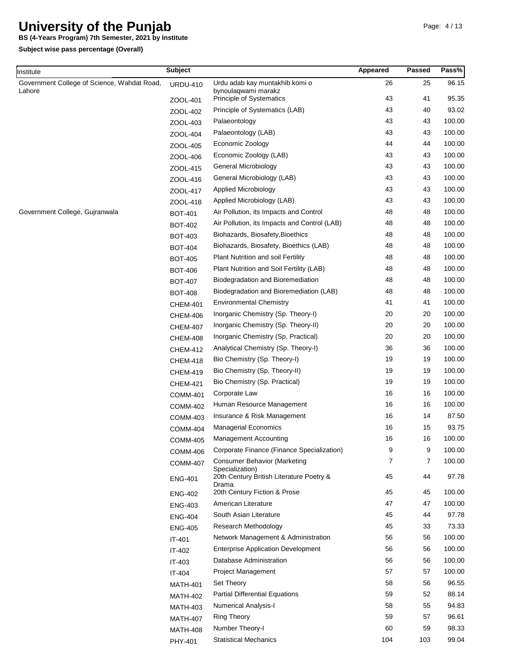**BS (4-Years Program) 7th Semester, 2021 by Institute**

| nstitute                                    | <b>Subject</b>  |                                                        | Appeared | Passed | Pass%  |
|---------------------------------------------|-----------------|--------------------------------------------------------|----------|--------|--------|
| Government College of Science, Wahdat Road, | <b>URDU-410</b> | Urdu adab kay muntakhib komi o                         | 26       | 25     | 96.15  |
| Lahore                                      | ZOOL-401        | bynoulaqwami marakz<br><b>Principle of Systematics</b> | 43       | 41     | 95.35  |
|                                             | ZOOL-402        | Principle of Systematics (LAB)                         | 43       | 40     | 93.02  |
|                                             | ZOOL-403        | Palaeontology                                          | 43       | 43     | 100.00 |
|                                             | ZOOL-404        | Palaeontology (LAB)                                    | 43       | 43     | 100.00 |
|                                             | ZOOL-405        | Economic Zoology                                       | 44       | 44     | 100.00 |
|                                             | ZOOL-406        | Economic Zoology (LAB)                                 | 43       | 43     | 100.00 |
|                                             | ZOOL-415        | General Microbiology                                   | 43       | 43     | 100.00 |
|                                             | ZOOL-416        | General Microbiology (LAB)                             | 43       | 43     | 100.00 |
|                                             | ZOOL-417        | Applied Microbiology                                   | 43       | 43     | 100.00 |
|                                             | ZOOL-418        | Applied Microbiology (LAB)                             | 43       | 43     | 100.00 |
| Government College, Gujranwala              | <b>BOT-401</b>  | Air Pollution, its Impacts and Control                 | 48       | 48     | 100.00 |
|                                             | <b>BOT-402</b>  | Air Pollution, its Impacts and Control (LAB)           | 48       | 48     | 100.00 |
|                                             | <b>BOT-403</b>  | Biohazards, Biosafety, Bioethics                       | 48       | 48     | 100.00 |
|                                             | <b>BOT-404</b>  | Biohazards, Biosafety, Bioethics (LAB)                 | 48       | 48     | 100.00 |
|                                             | <b>BOT-405</b>  | Plant Nutrition and soil Fertility                     | 48       | 48     | 100.00 |
|                                             | <b>BOT-406</b>  | Plant Nutrition and Soil Fertility (LAB)               | 48       | 48     | 100.00 |
|                                             | <b>BOT-407</b>  | Biodegradation and Bioremediation                      | 48       | 48     | 100.00 |
|                                             | <b>BOT-408</b>  | Biodegradation and Bioremediation (LAB)                | 48       | 48     | 100.00 |
|                                             | <b>CHEM-401</b> | <b>Environmental Chemistry</b>                         | 41       | 41     | 100.00 |
|                                             | <b>CHEM-406</b> | Inorganic Chemistry (Sp. Theory-I)                     | 20       | 20     | 100.00 |
|                                             | <b>CHEM-407</b> | Inorganic Chemistry (Sp. Theory-II)                    | 20       | 20     | 100.00 |
|                                             | <b>CHEM-408</b> | Inorganic Chemistry (Sp. Practical)                    | 20       | 20     | 100.00 |
|                                             | <b>CHEM-412</b> | Analytical Chemistry (Sp. Theory-I)                    | 36       | 36     | 100.00 |
|                                             | <b>CHEM-418</b> | Bio Chemistry (Sp. Theory-I)                           | 19       | 19     | 100.00 |
|                                             | <b>CHEM-419</b> | Bio Chemistry (Sp. Theory-II)                          | 19       | 19     | 100.00 |
|                                             | <b>CHEM-421</b> | Bio Chemistry (Sp. Practical)                          | 19       | 19     | 100.00 |
|                                             | <b>COMM-401</b> | Corporate Law                                          | 16       | 16     | 100.00 |
|                                             | <b>COMM-402</b> | Human Resource Management                              | 16       | 16     | 100.00 |
|                                             | <b>COMM-403</b> | Insurance & Risk Management                            | 16       | 14     | 87.50  |
|                                             | <b>COMM-404</b> | <b>Managerial Economics</b>                            | 16       | 15     | 93.75  |
|                                             | <b>COMM-405</b> | <b>Management Accounting</b>                           | 16       | 16     | 100.00 |
|                                             | <b>COMM-406</b> | Corporate Finance (Finance Specialization)             | 9        | 9      | 100.00 |
|                                             | <b>COMM-407</b> | <b>Consumer Behavior (Marketing</b><br>Specialization) | 7        | 7      | 100.00 |
|                                             | <b>ENG-401</b>  | 20th Century British Literature Poetry &<br>Drama      | 45       | 44     | 97.78  |
|                                             | <b>ENG-402</b>  | 20th Century Fiction & Prose                           | 45       | 45     | 100.00 |
|                                             | <b>ENG-403</b>  | American Literature                                    | 47       | 47     | 100.00 |
|                                             | <b>ENG-404</b>  | South Asian Literature                                 | 45       | 44     | 97.78  |
|                                             | <b>ENG-405</b>  | Research Methodology                                   | 45       | 33     | 73.33  |
|                                             | IT-401          | Network Management & Administration                    | 56       | 56     | 100.00 |
|                                             | IT-402          | <b>Enterprise Application Development</b>              | 56       | 56     | 100.00 |
|                                             | IT-403          | Database Administration                                | 56       | 56     | 100.00 |
|                                             | IT-404          | <b>Project Management</b>                              | 57       | 57     | 100.00 |
|                                             | <b>MATH-401</b> | Set Theory                                             | 58       | 56     | 96.55  |
|                                             | <b>MATH-402</b> | <b>Partial Differential Equations</b>                  | 59       | 52     | 88.14  |
|                                             | <b>MATH-403</b> | <b>Numerical Analysis-I</b>                            | 58       | 55     | 94.83  |
|                                             | <b>MATH-407</b> | <b>Ring Theory</b>                                     | 59       | 57     | 96.61  |
|                                             | <b>MATH-408</b> | Number Theory-I                                        | 60       | 59     | 98.33  |
|                                             | PHY-401         | <b>Statistical Mechanics</b>                           | 104      | 103    | 99.04  |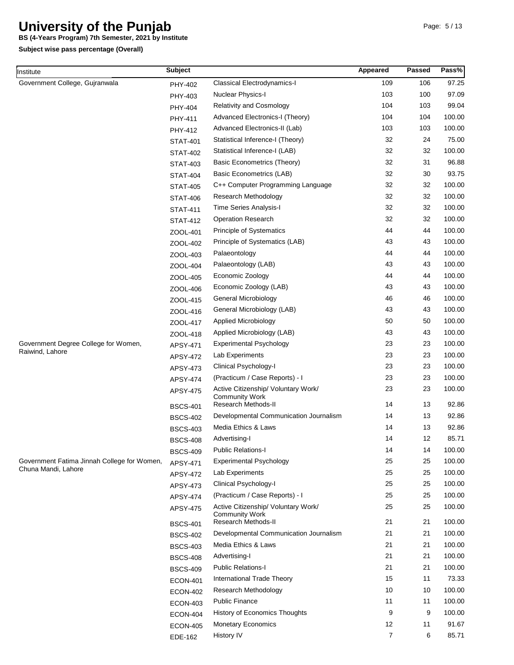**BS (4-Years Program) 7th Semester, 2021 by Institute**

| Institute                                   | <b>Subject</b>  |                                                              | Appeared | <b>Passed</b> | Pass%  |
|---------------------------------------------|-----------------|--------------------------------------------------------------|----------|---------------|--------|
| Government College, Gujranwala              | PHY-402         | Classical Electrodynamics-I                                  | 109      | 106           | 97.25  |
|                                             | PHY-403         | Nuclear Physics-I                                            | 103      | 100           | 97.09  |
|                                             | PHY-404         | <b>Relativity and Cosmology</b>                              | 104      | 103           | 99.04  |
|                                             | PHY-411         | Advanced Electronics-I (Theory)                              | 104      | 104           | 100.00 |
|                                             | PHY-412         | Advanced Electronics-II (Lab)                                | 103      | 103           | 100.00 |
|                                             | <b>STAT-401</b> | Statistical Inference-I (Theory)                             | 32       | 24            | 75.00  |
|                                             | <b>STAT-402</b> | Statistical Inference-I (LAB)                                | 32       | 32            | 100.00 |
|                                             | <b>STAT-403</b> | Basic Econometrics (Theory)                                  | 32       | 31            | 96.88  |
|                                             | <b>STAT-404</b> | Basic Econometrics (LAB)                                     | 32       | 30            | 93.75  |
|                                             | <b>STAT-405</b> | C++ Computer Programming Language                            | 32       | 32            | 100.00 |
|                                             | <b>STAT-406</b> | Research Methodology                                         | 32       | 32            | 100.00 |
|                                             | <b>STAT-411</b> | Time Series Analysis-I                                       | 32       | 32            | 100.00 |
|                                             | <b>STAT-412</b> | Operation Research                                           | 32       | 32            | 100.00 |
|                                             | ZOOL-401        | Principle of Systematics                                     | 44       | 44            | 100.00 |
|                                             | ZOOL-402        | Principle of Systematics (LAB)                               | 43       | 43            | 100.00 |
|                                             | ZOOL-403        | Palaeontology                                                | 44       | 44            | 100.00 |
|                                             | ZOOL-404        | Palaeontology (LAB)                                          | 43       | 43            | 100.00 |
|                                             | ZOOL-405        | Economic Zoology                                             | 44       | 44            | 100.00 |
|                                             | ZOOL-406        | Economic Zoology (LAB)                                       | 43       | 43            | 100.00 |
|                                             | ZOOL-415        | General Microbiology                                         | 46       | 46            | 100.00 |
|                                             | ZOOL-416        | General Microbiology (LAB)                                   | 43       | 43            | 100.00 |
|                                             | ZOOL-417        | Applied Microbiology                                         | 50       | 50            | 100.00 |
|                                             | ZOOL-418        | Applied Microbiology (LAB)                                   | 43       | 43            | 100.00 |
| Government Degree College for Women,        | <b>APSY-471</b> | <b>Experimental Psychology</b>                               | 23       | 23            | 100.00 |
| Raiwind, Lahore                             | APSY-472        | Lab Experiments                                              | 23       | 23            | 100.00 |
|                                             | APSY-473        | Clinical Psychology-I                                        | 23       | 23            | 100.00 |
|                                             | <b>APSY-474</b> | (Practicum / Case Reports) - I                               | 23       | 23            | 100.00 |
|                                             | <b>APSY-475</b> | Active Citizenship/ Voluntary Work/<br><b>Community Work</b> | 23       | 23            | 100.00 |
|                                             | <b>BSCS-401</b> | <b>Research Methods-II</b>                                   | 14       | 13            | 92.86  |
|                                             | <b>BSCS-402</b> | Developmental Communication Journalism                       | 14       | 13            | 92.86  |
|                                             | <b>BSCS-403</b> | Media Ethics & Laws                                          | 14       | 13            | 92.86  |
|                                             | <b>BSCS-408</b> | Advertising-I                                                | 14       | 12            | 85.71  |
|                                             | <b>BSCS-409</b> | <b>Public Relations-I</b>                                    | 14       | 14            | 100.00 |
| Government Fatima Jinnah College for Women, | <b>APSY-471</b> | <b>Experimental Psychology</b>                               | 25       | 25            | 100.00 |
| Chuna Mandi, Lahore                         | APSY-472        | Lab Experiments                                              | 25       | 25            | 100.00 |
|                                             | APSY-473        | Clinical Psychology-I                                        | 25       | 25            | 100.00 |
|                                             | <b>APSY-474</b> | (Practicum / Case Reports) - I                               | 25       | 25            | 100.00 |
|                                             | <b>APSY-475</b> | Active Citizenship/ Voluntary Work/<br><b>Community Work</b> | 25       | 25            | 100.00 |
|                                             | <b>BSCS-401</b> | Research Methods-II                                          | 21       | 21            | 100.00 |
|                                             | <b>BSCS-402</b> | Developmental Communication Journalism                       | 21       | 21            | 100.00 |
|                                             | <b>BSCS-403</b> | Media Ethics & Laws                                          | 21       | 21            | 100.00 |
|                                             | <b>BSCS-408</b> | Advertising-I                                                | 21       | 21            | 100.00 |
|                                             | <b>BSCS-409</b> | Public Relations-I                                           | 21       | 21            | 100.00 |
|                                             | <b>ECON-401</b> | International Trade Theory                                   | 15       | 11            | 73.33  |
|                                             | <b>ECON-402</b> | Research Methodology                                         | 10       | 10            | 100.00 |
|                                             | <b>ECON-403</b> | <b>Public Finance</b>                                        | 11       | 11            | 100.00 |
|                                             | <b>ECON-404</b> | History of Economics Thoughts                                | 9        | 9             | 100.00 |
|                                             | <b>ECON-405</b> | <b>Monetary Economics</b>                                    | 12       | 11            | 91.67  |
|                                             | EDE-162         | History IV                                                   | 7        | 6             | 85.71  |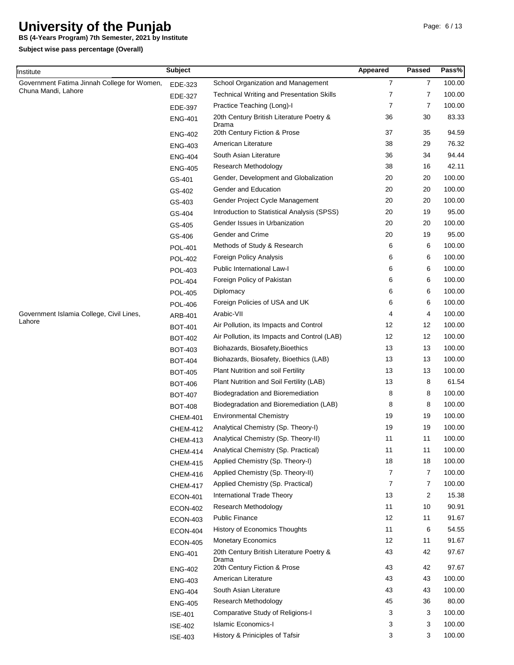**BS (4-Years Program) 7th Semester, 2021 by Institute**

| Institute                                   | <b>Subject</b>  |                                                   | Appeared       | <b>Passed</b>  | Pass%  |
|---------------------------------------------|-----------------|---------------------------------------------------|----------------|----------------|--------|
| Government Fatima Jinnah College for Women, | EDE-323         | School Organization and Management                | $\overline{7}$ | $\overline{7}$ | 100.00 |
| Chuna Mandi, Lahore                         | EDE-327         | <b>Technical Writing and Presentation Skills</b>  | 7              | 7              | 100.00 |
|                                             | EDE-397         | Practice Teaching (Long)-I                        | 7              | 7              | 100.00 |
|                                             | <b>ENG-401</b>  | 20th Century British Literature Poetry &          | 36             | 30             | 83.33  |
|                                             | <b>ENG-402</b>  | Drama<br>20th Century Fiction & Prose             | 37             | 35             | 94.59  |
|                                             | <b>ENG-403</b>  | American Literature                               | 38             | 29             | 76.32  |
|                                             | <b>ENG-404</b>  | South Asian Literature                            | 36             | 34             | 94.44  |
|                                             | <b>ENG-405</b>  | <b>Research Methodology</b>                       | 38             | 16             | 42.11  |
|                                             | GS-401          | Gender, Development and Globalization             | 20             | 20             | 100.00 |
|                                             | GS-402          | Gender and Education                              | 20             | 20             | 100.00 |
|                                             | GS-403          | Gender Project Cycle Management                   | 20             | 20             | 100.00 |
|                                             | GS-404          | Introduction to Statistical Analysis (SPSS)       | 20             | 19             | 95.00  |
|                                             | GS-405          | Gender Issues in Urbanization                     | 20             | 20             | 100.00 |
|                                             | GS-406          | Gender and Crime                                  | 20             | 19             | 95.00  |
|                                             | POL-401         | Methods of Study & Research                       | 6              | 6              | 100.00 |
|                                             | <b>POL-402</b>  | Foreign Policy Analysis                           | 6              | 6              | 100.00 |
|                                             | <b>POL-403</b>  | Public International Law-I                        | 6              | 6              | 100.00 |
|                                             | <b>POL-404</b>  | Foreign Policy of Pakistan                        | 6              | 6              | 100.00 |
|                                             | <b>POL-405</b>  | Diplomacy                                         | 6              | 6              | 100.00 |
|                                             | <b>POL-406</b>  | Foreign Policies of USA and UK                    | 6              | 6              | 100.00 |
| Government Islamia College, Civil Lines,    | ARB-401         | Arabic-VII                                        | 4              | 4              | 100.00 |
| Lahore                                      | <b>BOT-401</b>  | Air Pollution, its Impacts and Control            | 12             | 12             | 100.00 |
|                                             | <b>BOT-402</b>  | Air Pollution, its Impacts and Control (LAB)      | 12             | 12             | 100.00 |
|                                             | <b>BOT-403</b>  | Biohazards, Biosafety, Bioethics                  | 13             | 13             | 100.00 |
|                                             | <b>BOT-404</b>  | Biohazards, Biosafety, Bioethics (LAB)            | 13             | 13             | 100.00 |
|                                             | <b>BOT-405</b>  | Plant Nutrition and soil Fertility                | 13             | 13             | 100.00 |
|                                             | <b>BOT-406</b>  | Plant Nutrition and Soil Fertility (LAB)          | 13             | 8              | 61.54  |
|                                             | <b>BOT-407</b>  | Biodegradation and Bioremediation                 | 8              | 8              | 100.00 |
|                                             | <b>BOT-408</b>  | Biodegradation and Bioremediation (LAB)           | 8              | 8              | 100.00 |
|                                             | <b>CHEM-401</b> | <b>Environmental Chemistry</b>                    | 19             | 19             | 100.00 |
|                                             | <b>CHEM-412</b> | Analytical Chemistry (Sp. Theory-I)               | 19             | 19             | 100.00 |
|                                             | <b>CHEM-413</b> | Analytical Chemistry (Sp. Theory-II)              | 11             | 11             | 100.00 |
|                                             | <b>CHEM-414</b> | Analytical Chemistry (Sp. Practical)              | 11             | 11             | 100.00 |
|                                             | <b>CHEM-415</b> | Applied Chemistry (Sp. Theory-I)                  | 18             | 18             | 100.00 |
|                                             | <b>CHEM-416</b> | Applied Chemistry (Sp. Theory-II)                 | 7              | 7              | 100.00 |
|                                             | <b>CHEM-417</b> | Applied Chemistry (Sp. Practical)                 | $\overline{7}$ | 7              | 100.00 |
|                                             | <b>ECON-401</b> | <b>International Trade Theory</b>                 | 13             | 2              | 15.38  |
|                                             | <b>ECON-402</b> | Research Methodology                              | 11             | 10             | 90.91  |
|                                             | <b>ECON-403</b> | <b>Public Finance</b>                             | 12             | 11             | 91.67  |
|                                             | <b>ECON-404</b> | History of Economics Thoughts                     | 11             | 6              | 54.55  |
|                                             | <b>ECON-405</b> | <b>Monetary Economics</b>                         | 12             | 11             | 91.67  |
|                                             | <b>ENG-401</b>  | 20th Century British Literature Poetry &<br>Drama | 43             | 42             | 97.67  |
|                                             | <b>ENG-402</b>  | 20th Century Fiction & Prose                      | 43             | 42             | 97.67  |
|                                             | <b>ENG-403</b>  | American Literature                               | 43             | 43             | 100.00 |
|                                             | <b>ENG-404</b>  | South Asian Literature                            | 43             | 43             | 100.00 |
|                                             | <b>ENG-405</b>  | Research Methodology                              | 45             | 36             | 80.00  |
|                                             | <b>ISE-401</b>  | Comparative Study of Religions-I                  | 3              | 3              | 100.00 |
|                                             | <b>ISE-402</b>  | <b>Islamic Economics-I</b>                        | 3              | 3              | 100.00 |
|                                             | <b>ISE-403</b>  | History & Priniciples of Tafsir                   | 3              | 3              | 100.00 |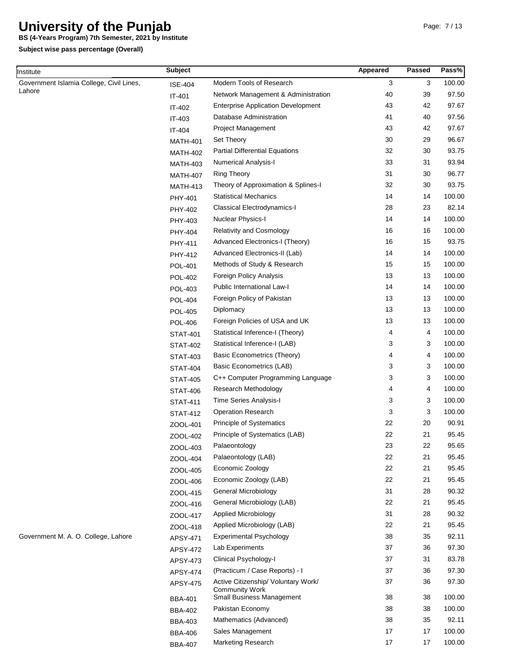**BS (4-Years Program) 7th Semester, 2021 by Institute**

| Institute                                | <b>Subject</b>             |                                                                                                  | Appeared | Passed   | Pass%           |
|------------------------------------------|----------------------------|--------------------------------------------------------------------------------------------------|----------|----------|-----------------|
| Government Islamia College, Civil Lines, | <b>ISE-404</b>             | Modern Tools of Research                                                                         | 3        | 3        | 100.00          |
| Lahore                                   | IT-401                     | Network Management & Administration                                                              | 40       | 39       | 97.50           |
|                                          | IT-402                     | <b>Enterprise Application Development</b>                                                        | 43       | 42       | 97.67           |
|                                          | IT-403                     | Database Administration                                                                          | 41       | 40       | 97.56           |
|                                          | IT-404                     | <b>Project Management</b>                                                                        | 43       | 42       | 97.67           |
|                                          | <b>MATH-401</b>            | Set Theory                                                                                       | 30       | 29       | 96.67           |
|                                          | <b>MATH-402</b>            | <b>Partial Differential Equations</b>                                                            | 32       | 30       | 93.75           |
|                                          | <b>MATH-403</b>            | <b>Numerical Analysis-I</b>                                                                      | 33       | 31       | 93.94           |
|                                          | <b>MATH-407</b>            | <b>Ring Theory</b>                                                                               | 31       | 30       | 96.77           |
|                                          | <b>MATH-413</b>            | Theory of Approximation & Splines-I                                                              | 32       | 30       | 93.75           |
|                                          | PHY-401                    | <b>Statistical Mechanics</b>                                                                     | 14       | 14       | 100.00          |
|                                          | PHY-402                    | <b>Classical Electrodynamics-I</b>                                                               | 28       | 23       | 82.14           |
|                                          | PHY-403                    | Nuclear Physics-I                                                                                | 14       | 14       | 100.00          |
|                                          | <b>PHY-404</b>             | <b>Relativity and Cosmology</b>                                                                  | 16       | 16       | 100.00          |
|                                          | PHY-411                    | Advanced Electronics-I (Theory)                                                                  | 16       | 15       | 93.75           |
|                                          | PHY-412                    | Advanced Electronics-II (Lab)                                                                    | 14       | 14       | 100.00          |
|                                          | <b>POL-401</b>             | Methods of Study & Research                                                                      | 15       | 15       | 100.00          |
|                                          | <b>POL-402</b>             | Foreign Policy Analysis                                                                          | 13       | 13       | 100.00          |
|                                          | POL-403                    | Public International Law-I                                                                       | 14       | 14       | 100.00          |
|                                          | <b>POL-404</b>             | Foreign Policy of Pakistan                                                                       | 13       | 13       | 100.00          |
|                                          | <b>POL-405</b>             | Diplomacy                                                                                        | 13       | 13       | 100.00          |
|                                          | <b>POL-406</b>             | Foreign Policies of USA and UK                                                                   | 13       | 13       | 100.00          |
|                                          | <b>STAT-401</b>            | Statistical Inference-I (Theory)                                                                 | 4        | 4        | 100.00          |
|                                          | <b>STAT-402</b>            | Statistical Inference-I (LAB)                                                                    | 3        | 3        | 100.00          |
|                                          | <b>STAT-403</b>            | Basic Econometrics (Theory)                                                                      | 4        | 4        | 100.00          |
|                                          | <b>STAT-404</b>            | <b>Basic Econometrics (LAB)</b>                                                                  | 3        | 3        | 100.00          |
|                                          | <b>STAT-405</b>            | C++ Computer Programming Language                                                                | 3        | 3        | 100.00          |
|                                          |                            | Research Methodology                                                                             | 4        | 4        | 100.00          |
|                                          | <b>STAT-406</b>            | Time Series Analysis-I                                                                           | 3        | 3        | 100.00          |
|                                          | <b>STAT-411</b>            | Operation Research                                                                               | 3        | 3        | 100.00          |
|                                          | <b>STAT-412</b>            | Principle of Systematics                                                                         | 22       | 20       | 90.91           |
|                                          | ZOOL-401                   | Principle of Systematics (LAB)                                                                   | 22       | 21       | 95.45           |
|                                          | ZOOL-402                   | Palaeontology                                                                                    | 23       | 22       | 95.65           |
|                                          | ZOOL-403                   | Palaeontology (LAB)                                                                              | 22       | 21       | 95.45           |
|                                          | ZOOL-404                   | Economic Zoology                                                                                 | 22       | 21       | 95.45           |
|                                          | ZOOL-405                   | Economic Zoology (LAB)                                                                           | 22       | 21       | 95.45           |
|                                          | ZOOL-406                   | General Microbiology                                                                             | 31       | 28       | 90.32           |
|                                          | ZOOL-415                   | General Microbiology (LAB)                                                                       | 22       | 21       | 95.45           |
|                                          | ZOOL-416                   | Applied Microbiology                                                                             | 31       | 28       | 90.32           |
|                                          | ZOOL-417                   | Applied Microbiology (LAB)                                                                       | 22       | 21       | 95.45           |
| Government M. A. O. College, Lahore      | ZOOL-418                   | <b>Experimental Psychology</b>                                                                   | 38       | 35       | 92.11           |
|                                          | APSY-471                   | Lab Experiments                                                                                  | 37       | 36       | 97.30           |
|                                          | APSY-472                   | Clinical Psychology-I                                                                            | 37       | 31       | 83.78           |
|                                          | APSY-473                   | (Practicum / Case Reports) - I                                                                   | 37       | 36       | 97.30           |
|                                          | APSY-474                   |                                                                                                  |          |          |                 |
|                                          | APSY-475<br><b>BBA-401</b> | Active Citizenship/ Voluntary Work/<br><b>Community Work</b><br><b>Small Business Management</b> | 37<br>38 | 36<br>38 | 97.30<br>100.00 |
|                                          | <b>BBA-402</b>             | Pakistan Economy                                                                                 | 38       | 38       | 100.00          |
|                                          |                            | Mathematics (Advanced)                                                                           | 38       | 35       | 92.11           |
|                                          | <b>BBA-403</b>             | Sales Management                                                                                 | 17       | 17       | 100.00          |
|                                          | <b>BBA-406</b>             | Marketing Research                                                                               | 17       | 17       | 100.00          |
|                                          | <b>BBA-407</b>             |                                                                                                  |          |          |                 |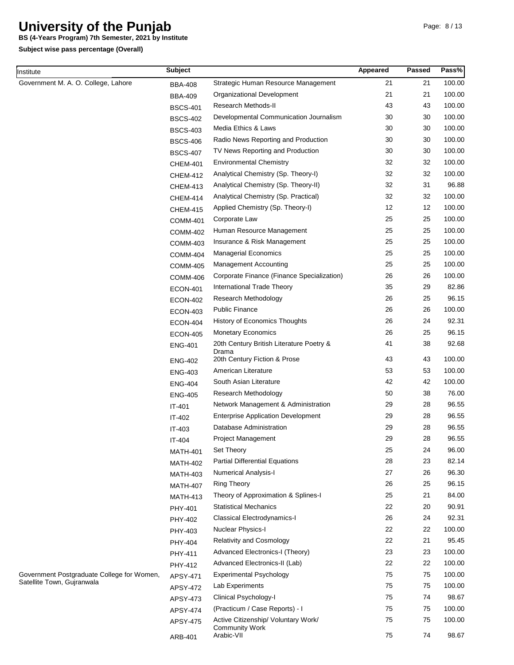**BS (4-Years Program) 7th Semester, 2021 by Institute**

**Subject wise pass percentage (Overall)**

Institute

| nstitute                                                                 | <b>Subject</b>  |                                                   | Appeared   | <b>Passed</b> | Pass%  |
|--------------------------------------------------------------------------|-----------------|---------------------------------------------------|------------|---------------|--------|
| Government M. A. O. College, Lahore                                      | <b>BBA-408</b>  | Strategic Human Resource Management               | 21         | 21            | 100.00 |
|                                                                          | <b>BBA-409</b>  | Organizational Development                        | 21         | 21            | 100.00 |
|                                                                          | <b>BSCS-401</b> | Research Methods-II                               | 43         | 43            | 100.00 |
|                                                                          | <b>BSCS-402</b> | Developmental Communication Journalism            | 30         | 30            | 100.00 |
|                                                                          | <b>BSCS-403</b> | Media Ethics & Laws                               | 30         | 30            | 100.00 |
|                                                                          | <b>BSCS-406</b> | Radio News Reporting and Production               | 30         | 30            | 100.00 |
|                                                                          | <b>BSCS-407</b> | TV News Reporting and Production                  | 30         | 30            | 100.00 |
|                                                                          | <b>CHEM-401</b> | <b>Environmental Chemistry</b>                    | 32         | 32            | 100.00 |
|                                                                          | <b>CHEM-412</b> | Analytical Chemistry (Sp. Theory-I)               | 32         | 32            | 100.00 |
|                                                                          | <b>CHEM-413</b> | Analytical Chemistry (Sp. Theory-II)              | 32         | 31            | 96.88  |
|                                                                          | <b>CHEM-414</b> | Analytical Chemistry (Sp. Practical)              | 32         | 32            | 100.00 |
|                                                                          | <b>CHEM-415</b> | Applied Chemistry (Sp. Theory-I)                  | 12         | 12            | 100.00 |
|                                                                          | <b>COMM-401</b> | Corporate Law                                     | 25         | 25            | 100.00 |
|                                                                          | <b>COMM-402</b> | Human Resource Management                         | 25         | 25            | 100.00 |
|                                                                          | COMM-403        | Insurance & Risk Management                       | 25         | 25            | 100.00 |
|                                                                          | <b>COMM-404</b> | <b>Managerial Economics</b>                       | 25         | 25            | 100.00 |
|                                                                          | <b>COMM-405</b> | <b>Management Accounting</b>                      | 25         | 25            | 100.00 |
|                                                                          | <b>COMM-406</b> | Corporate Finance (Finance Specialization)        | 26         | 26            | 100.00 |
|                                                                          | <b>ECON-401</b> | International Trade Theory                        | 35         | 29            | 82.86  |
|                                                                          | <b>ECON-402</b> | <b>Research Methodology</b>                       | 26         | 25            | 96.15  |
|                                                                          | <b>ECON-403</b> | <b>Public Finance</b>                             | 26         | 26            | 100.00 |
|                                                                          | <b>ECON-404</b> | History of Economics Thoughts                     | 26         | 24            | 92.31  |
|                                                                          | <b>ECON-405</b> | <b>Monetary Economics</b>                         | 26         | 25            | 96.15  |
|                                                                          | <b>ENG-401</b>  | 20th Century British Literature Poetry &<br>Drama | 41         | 38            | 92.68  |
|                                                                          | <b>ENG-402</b>  | 20th Century Fiction & Prose                      | 43         | 43            | 100.00 |
|                                                                          | <b>ENG-403</b>  | American Literature                               | 53         | 53            | 100.00 |
|                                                                          | <b>ENG-404</b>  | South Asian Literature                            | 42         | 42            | 100.00 |
|                                                                          | <b>ENG-405</b>  | <b>Research Methodology</b>                       | 50         | 38            | 76.00  |
|                                                                          | $IT-401$        | Network Management & Administration               | 29         | 28            | 96.55  |
|                                                                          | IT-402          | <b>Enterprise Application Development</b>         | 29         | 28            | 96.55  |
|                                                                          | IT-403          | Database Administration                           | 29         | 28            | 96.55  |
|                                                                          | IT-404          | Project Management                                | 29         | 28            | 96.55  |
|                                                                          | <b>MATH-401</b> | Set Theory                                        | 25         | 24            | 96.00  |
|                                                                          | <b>MATH-402</b> | <b>Partial Differential Equations</b>             | 28         | 23            | 82.14  |
|                                                                          | <b>MATH-403</b> | <b>Numerical Analysis-I</b>                       | 27         | 26            | 96.30  |
|                                                                          | <b>MATH-407</b> | <b>Ring Theory</b>                                | 26         | 25            | 96.15  |
|                                                                          | <b>MATH-413</b> | Theory of Approximation & Splines-I               | 25         | 21            | 84.00  |
|                                                                          | PHY-401         | <b>Statistical Mechanics</b>                      | 22         | 20            | 90.91  |
|                                                                          | PHY-402         | Classical Electrodynamics-I                       | 26         | 24            | 92.31  |
|                                                                          | PHY-403         | Nuclear Physics-I                                 | 22         | 22            | 100.00 |
|                                                                          | PHY-404         | <b>Relativity and Cosmology</b>                   | 22         | 21            | 95.45  |
|                                                                          | PHY-411         | Advanced Electronics-I (Theory)                   | 23         | 23            | 100.00 |
|                                                                          | PHY-412         | Advanced Electronics-II (Lab)                     | 22         | 22            | 100.00 |
| Government Postgraduate College for Women,<br>Satellite Town, Gujranwala | APSY-471        | <b>Experimental Psychology</b>                    | 75         | 75            | 100.00 |
|                                                                          | APSY-472        | Lab Experiments                                   | 75         | 75            | 100.00 |
|                                                                          | APSY-473        | Clinical Psychology-I                             | 75         | 74            | 98.67  |
|                                                                          | APSY-474        | (Practicum / Case Reports) - I                    | 75         | 75            | 100.00 |
|                                                                          | APSY-475        | Active Citizenship/ Voluntary Work/               | ${\bf 75}$ | 75            | 100.00 |

Community Work Arabic-VII

ARB-401

75

74

98.67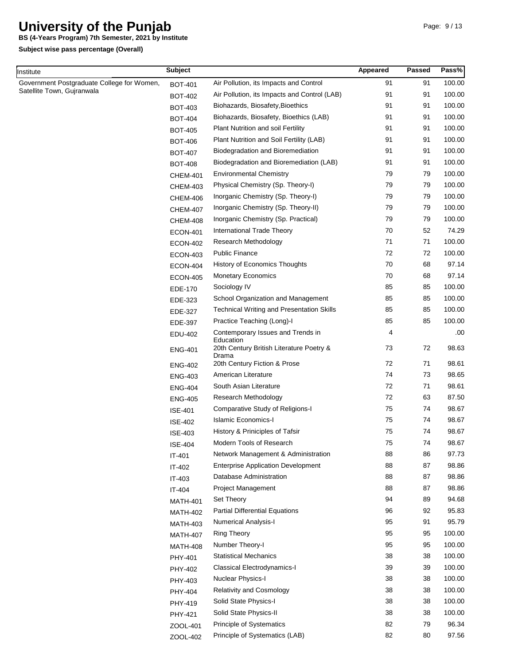**BS (4-Years Program) 7th Semester, 2021 by Institute**

| nstitute                                   | <b>Subject</b>  |                                                                | Appeared | <b>Passed</b> | Pass%  |
|--------------------------------------------|-----------------|----------------------------------------------------------------|----------|---------------|--------|
| Government Postgraduate College for Women, | <b>BOT-401</b>  | Air Pollution, its Impacts and Control                         | 91       | 91            | 100.00 |
| Satellite Town, Gujranwala                 | <b>BOT-402</b>  | Air Pollution, its Impacts and Control (LAB)                   | 91       | 91            | 100.00 |
|                                            | <b>BOT-403</b>  | Biohazards, Biosafety, Bioethics                               | 91       | 91            | 100.00 |
|                                            | <b>BOT-404</b>  | Biohazards, Biosafety, Bioethics (LAB)                         | 91       | 91            | 100.00 |
|                                            | <b>BOT-405</b>  | Plant Nutrition and soil Fertility                             | 91       | 91            | 100.00 |
|                                            | <b>BOT-406</b>  | Plant Nutrition and Soil Fertility (LAB)                       | 91       | 91            | 100.00 |
|                                            | <b>BOT-407</b>  | Biodegradation and Bioremediation                              | 91       | 91            | 100.00 |
|                                            | <b>BOT-408</b>  | Biodegradation and Bioremediation (LAB)                        | 91       | 91            | 100.00 |
|                                            | <b>CHEM-401</b> | <b>Environmental Chemistry</b>                                 | 79       | 79            | 100.00 |
|                                            | <b>CHEM-403</b> | Physical Chemistry (Sp. Theory-I)                              | 79       | 79            | 100.00 |
|                                            | <b>CHEM-406</b> | Inorganic Chemistry (Sp. Theory-I)                             | 79       | 79            | 100.00 |
|                                            | <b>CHEM-407</b> | Inorganic Chemistry (Sp. Theory-II)                            | 79       | 79            | 100.00 |
|                                            | <b>CHEM-408</b> | Inorganic Chemistry (Sp. Practical)                            | 79       | 79            | 100.00 |
|                                            | <b>ECON-401</b> | International Trade Theory                                     | 70       | 52            | 74.29  |
|                                            | <b>ECON-402</b> | Research Methodology                                           | 71       | 71            | 100.00 |
|                                            | <b>ECON-403</b> | <b>Public Finance</b>                                          | 72       | 72            | 100.00 |
|                                            | <b>ECON-404</b> | <b>History of Economics Thoughts</b>                           | 70       | 68            | 97.14  |
|                                            | <b>ECON-405</b> | <b>Monetary Economics</b>                                      | 70       | 68            | 97.14  |
|                                            | EDE-170         | Sociology IV                                                   | 85       | 85            | 100.00 |
|                                            | EDE-323         | School Organization and Management                             | 85       | 85            | 100.00 |
|                                            | EDE-327         | <b>Technical Writing and Presentation Skills</b>               | 85       | 85            | 100.00 |
|                                            | EDE-397         | Practice Teaching (Long)-I                                     | 85       | 85            | 100.00 |
|                                            | EDU-402         | Contemporary Issues and Trends in                              | 4        |               | .00    |
|                                            | <b>ENG-401</b>  | Education<br>20th Century British Literature Poetry &<br>Drama | 73       | 72            | 98.63  |
|                                            | <b>ENG-402</b>  | 20th Century Fiction & Prose                                   | 72       | 71            | 98.61  |
|                                            | <b>ENG-403</b>  | American Literature                                            | 74       | 73            | 98.65  |
|                                            | <b>ENG-404</b>  | South Asian Literature                                         | 72       | 71            | 98.61  |
|                                            | <b>ENG-405</b>  | <b>Research Methodology</b>                                    | 72       | 63            | 87.50  |
|                                            | <b>ISE-401</b>  | Comparative Study of Religions-I                               | 75       | 74            | 98.67  |
|                                            | <b>ISE-402</b>  | <b>Islamic Economics-I</b>                                     | 75       | 74            | 98.67  |
|                                            | <b>ISE-403</b>  | History & Priniciples of Tafsir                                | 75       | 74            | 98.67  |
|                                            | <b>ISE-404</b>  | Modern Tools of Research                                       | 75       | 74            | 98.67  |
|                                            | IT-401          | Network Management & Administration                            | 88       | 86            | 97.73  |
|                                            | IT-402          | <b>Enterprise Application Development</b>                      | 88       | 87            | 98.86  |
|                                            | IT-403          | Database Administration                                        | 88       | 87            | 98.86  |
|                                            | IT-404          | Project Management                                             | 88       | 87            | 98.86  |
|                                            | <b>MATH-401</b> | Set Theory                                                     | 94       | 89            | 94.68  |
|                                            | <b>MATH-402</b> | <b>Partial Differential Equations</b>                          | 96       | 92            | 95.83  |
|                                            | <b>MATH-403</b> | <b>Numerical Analysis-I</b>                                    | 95       | 91            | 95.79  |
|                                            | <b>MATH-407</b> | <b>Ring Theory</b>                                             | 95       | 95            | 100.00 |
|                                            | <b>MATH-408</b> | Number Theory-I                                                | 95       | 95            | 100.00 |
|                                            | PHY-401         | <b>Statistical Mechanics</b>                                   | 38       | 38            | 100.00 |
|                                            | PHY-402         | <b>Classical Electrodynamics-I</b>                             | 39       | 39            | 100.00 |
|                                            | PHY-403         | Nuclear Physics-I                                              | 38       | 38            | 100.00 |
|                                            | PHY-404         | <b>Relativity and Cosmology</b>                                | 38       | 38            | 100.00 |
|                                            | PHY-419         | Solid State Physics-I                                          | 38       | 38            | 100.00 |
|                                            | PHY-421         | Solid State Physics-II                                         | 38       | 38            | 100.00 |
|                                            | ZOOL-401        | Principle of Systematics                                       | 82       | 79            | 96.34  |
|                                            | ZOOL-402        | Principle of Systematics (LAB)                                 | 82       | 80            | 97.56  |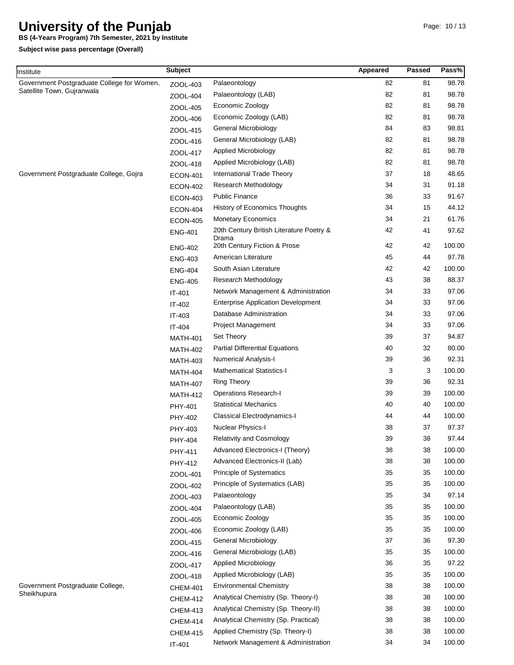**BS (4-Years Program) 7th Semester, 2021 by Institute**

| Institute                                  | <b>Subject</b>  |                                           | Appeared | Passed | Pass%  |
|--------------------------------------------|-----------------|-------------------------------------------|----------|--------|--------|
| Government Postgraduate College for Women, | ZOOL-403        | Palaeontology                             | 82       | 81     | 98.78  |
| Satellite Town, Gujranwala                 | ZOOL-404        | Palaeontology (LAB)                       | 82       | 81     | 98.78  |
|                                            | ZOOL-405        | Economic Zoology                          | 82       | 81     | 98.78  |
|                                            | ZOOL-406        | Economic Zoology (LAB)                    | 82       | 81     | 98.78  |
|                                            | ZOOL-415        | General Microbiology                      | 84       | 83     | 98.81  |
|                                            | ZOOL-416        | General Microbiology (LAB)                | 82       | 81     | 98.78  |
|                                            | ZOOL-417        | Applied Microbiology                      | 82       | 81     | 98.78  |
|                                            | ZOOL-418        | Applied Microbiology (LAB)                | 82       | 81     | 98.78  |
| Government Postgraduate College, Gojra     | <b>ECON-401</b> | <b>International Trade Theory</b>         | 37       | 18     | 48.65  |
|                                            | <b>ECON-402</b> | Research Methodology                      | 34       | 31     | 91.18  |
|                                            | <b>ECON-403</b> | <b>Public Finance</b>                     | 36       | 33     | 91.67  |
|                                            | <b>ECON-404</b> | <b>History of Economics Thoughts</b>      | 34       | 15     | 44.12  |
|                                            | <b>ECON-405</b> | <b>Monetary Economics</b>                 | 34       | 21     | 61.76  |
|                                            | <b>ENG-401</b>  | 20th Century British Literature Poetry &  | 42       | 41     | 97.62  |
|                                            |                 | Drama<br>20th Century Fiction & Prose     | 42       | 42     | 100.00 |
|                                            | <b>ENG-402</b>  | American Literature                       | 45       | 44     | 97.78  |
|                                            | <b>ENG-403</b>  | South Asian Literature                    | 42       | 42     | 100.00 |
|                                            | <b>ENG-404</b>  | <b>Research Methodology</b>               | 43       | 38     | 88.37  |
|                                            | <b>ENG-405</b>  |                                           | 34       | 33     | 97.06  |
|                                            | IT-401          | Network Management & Administration       |          |        |        |
|                                            | IT-402          | <b>Enterprise Application Development</b> | 34       | 33     | 97.06  |
|                                            | IT-403          | Database Administration                   | 34       | 33     | 97.06  |
|                                            | IT-404          | <b>Project Management</b>                 | 34       | 33     | 97.06  |
|                                            | <b>MATH-401</b> | Set Theory                                | 39       | 37     | 94.87  |
|                                            | <b>MATH-402</b> | <b>Partial Differential Equations</b>     | 40       | 32     | 80.00  |
|                                            | <b>MATH-403</b> | <b>Numerical Analysis-I</b>               | 39       | 36     | 92.31  |
|                                            | <b>MATH-404</b> | <b>Mathematical Statistics-I</b>          | 3        | 3      | 100.00 |
|                                            | <b>MATH-407</b> | <b>Ring Theory</b>                        | 39       | 36     | 92.31  |
|                                            | <b>MATH-412</b> | <b>Operations Research-I</b>              | 39       | 39     | 100.00 |
|                                            | PHY-401         | <b>Statistical Mechanics</b>              | 40       | 40     | 100.00 |
|                                            | PHY-402         | Classical Electrodynamics-I               | 44       | 44     | 100.00 |
|                                            | PHY-403         | Nuclear Physics-I                         | 38       | 37     | 97.37  |
|                                            | PHY-404         | <b>Relativity and Cosmology</b>           | 39       | 38     | 97.44  |
|                                            | PHY-411         | Advanced Electronics-I (Theory)           | 38       | 38     | 100.00 |
|                                            | PHY-412         | Advanced Electronics-II (Lab)             | 38       | 38     | 100.00 |
|                                            | ZOOL-401        | Principle of Systematics                  | 35       | 35     | 100.00 |
|                                            | ZOOL-402        | Principle of Systematics (LAB)            | 35       | 35     | 100.00 |
|                                            | ZOOL-403        | Palaeontology                             | 35       | 34     | 97.14  |
|                                            | ZOOL-404        | Palaeontology (LAB)                       | 35       | 35     | 100.00 |
|                                            | ZOOL-405        | Economic Zoology                          | 35       | 35     | 100.00 |
|                                            | ZOOL-406        | Economic Zoology (LAB)                    | 35       | 35     | 100.00 |
|                                            | ZOOL-415        | General Microbiology                      | 37       | 36     | 97.30  |
|                                            | ZOOL-416        | General Microbiology (LAB)                | 35       | 35     | 100.00 |
|                                            | ZOOL-417        | Applied Microbiology                      | 36       | 35     | 97.22  |
|                                            | ZOOL-418        | Applied Microbiology (LAB)                | 35       | 35     | 100.00 |
| Government Postgraduate College,           | <b>CHEM-401</b> | <b>Environmental Chemistry</b>            | 38       | 38     | 100.00 |
| Sheikhupura                                | <b>CHEM-412</b> | Analytical Chemistry (Sp. Theory-I)       | 38       | 38     | 100.00 |
|                                            | <b>CHEM-413</b> | Analytical Chemistry (Sp. Theory-II)      | 38       | 38     | 100.00 |
|                                            | <b>CHEM-414</b> | Analytical Chemistry (Sp. Practical)      | 38       | 38     | 100.00 |
|                                            | <b>CHEM-415</b> | Applied Chemistry (Sp. Theory-I)          | 38       | 38     | 100.00 |
|                                            | IT-401          | Network Management & Administration       | 34       | 34     | 100.00 |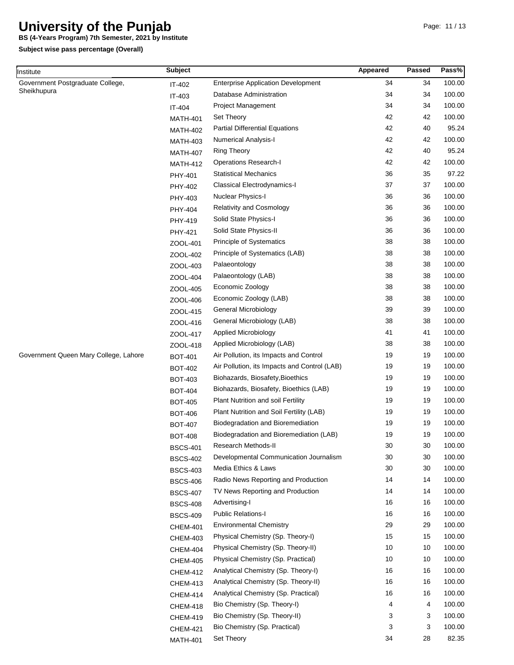**BS (4-Years Program) 7th Semester, 2021 by Institute**

| Institute                             | <b>Subject</b>  |                                              | Appeared | Passed | Pass%  |
|---------------------------------------|-----------------|----------------------------------------------|----------|--------|--------|
| Government Postgraduate College,      | IT-402          | <b>Enterprise Application Development</b>    | 34       | 34     | 100.00 |
| Sheikhupura                           | IT-403          | Database Administration                      | 34       | 34     | 100.00 |
|                                       | IT-404          | <b>Project Management</b>                    | 34       | 34     | 100.00 |
|                                       | <b>MATH-401</b> | Set Theory                                   | 42       | 42     | 100.00 |
|                                       | <b>MATH-402</b> | <b>Partial Differential Equations</b>        | 42       | 40     | 95.24  |
|                                       | <b>MATH-403</b> | <b>Numerical Analysis-I</b>                  | 42       | 42     | 100.00 |
|                                       | <b>MATH-407</b> | <b>Ring Theory</b>                           | 42       | 40     | 95.24  |
|                                       | <b>MATH-412</b> | <b>Operations Research-I</b>                 | 42       | 42     | 100.00 |
|                                       | PHY-401         | <b>Statistical Mechanics</b>                 | 36       | 35     | 97.22  |
|                                       | <b>PHY-402</b>  | <b>Classical Electrodynamics-I</b>           | 37       | 37     | 100.00 |
|                                       | PHY-403         | Nuclear Physics-I                            | 36       | 36     | 100.00 |
|                                       | PHY-404         | <b>Relativity and Cosmology</b>              | 36       | 36     | 100.00 |
|                                       | PHY-419         | Solid State Physics-I                        | 36       | 36     | 100.00 |
|                                       | PHY-421         | Solid State Physics-II                       | 36       | 36     | 100.00 |
|                                       | ZOOL-401        | Principle of Systematics                     | 38       | 38     | 100.00 |
|                                       | ZOOL-402        | Principle of Systematics (LAB)               | 38       | 38     | 100.00 |
|                                       | ZOOL-403        | Palaeontology                                | 38       | 38     | 100.00 |
|                                       | ZOOL-404        | Palaeontology (LAB)                          | 38       | 38     | 100.00 |
|                                       | ZOOL-405        | Economic Zoology                             | 38       | 38     | 100.00 |
|                                       | ZOOL-406        | Economic Zoology (LAB)                       | 38       | 38     | 100.00 |
|                                       | ZOOL-415        | General Microbiology                         | 39       | 39     | 100.00 |
|                                       | ZOOL-416        | General Microbiology (LAB)                   | 38       | 38     | 100.00 |
|                                       | ZOOL-417        | <b>Applied Microbiology</b>                  | 41       | 41     | 100.00 |
|                                       | ZOOL-418        | Applied Microbiology (LAB)                   | 38       | 38     | 100.00 |
| Government Queen Mary College, Lahore | <b>BOT-401</b>  | Air Pollution, its Impacts and Control       | 19       | 19     | 100.00 |
|                                       | <b>BOT-402</b>  | Air Pollution, its Impacts and Control (LAB) | 19       | 19     | 100.00 |
|                                       | <b>BOT-403</b>  | Biohazards, Biosafety, Bioethics             | 19       | 19     | 100.00 |
|                                       | <b>BOT-404</b>  | Biohazards, Biosafety, Bioethics (LAB)       | 19       | 19     | 100.00 |
|                                       | <b>BOT-405</b>  | Plant Nutrition and soil Fertility           | 19       | 19     | 100.00 |
|                                       | <b>BOT-406</b>  | Plant Nutrition and Soil Fertility (LAB)     | 19       | 19     | 100.00 |
|                                       | <b>BOT-407</b>  | Biodegradation and Bioremediation            | 19       | 19     | 100.00 |
|                                       | <b>BOT-408</b>  | Biodegradation and Bioremediation (LAB)      | 19       | 19     | 100.00 |
|                                       | <b>BSCS-401</b> | Research Methods-II                          | 30       | 30     | 100.00 |
|                                       | <b>BSCS-402</b> | Developmental Communication Journalism       | 30       | 30     | 100.00 |
|                                       | <b>BSCS-403</b> | Media Ethics & Laws                          | 30       | 30     | 100.00 |
|                                       | <b>BSCS-406</b> | Radio News Reporting and Production          | 14       | 14     | 100.00 |
|                                       | <b>BSCS-407</b> | TV News Reporting and Production             | 14       | 14     | 100.00 |
|                                       | <b>BSCS-408</b> | Advertising-I                                | 16       | 16     | 100.00 |
|                                       | <b>BSCS-409</b> | Public Relations-I                           | 16       | 16     | 100.00 |
|                                       | <b>CHEM-401</b> | <b>Environmental Chemistry</b>               | 29       | 29     | 100.00 |
|                                       | <b>CHEM-403</b> | Physical Chemistry (Sp. Theory-I)            | 15       | 15     | 100.00 |
|                                       | <b>CHEM-404</b> | Physical Chemistry (Sp. Theory-II)           | 10       | 10     | 100.00 |
|                                       | <b>CHEM-405</b> | Physical Chemistry (Sp. Practical)           | 10       | 10     | 100.00 |
|                                       | <b>CHEM-412</b> | Analytical Chemistry (Sp. Theory-I)          | 16       | 16     | 100.00 |
|                                       | <b>CHEM-413</b> | Analytical Chemistry (Sp. Theory-II)         | 16       | 16     | 100.00 |
|                                       | <b>CHEM-414</b> | Analytical Chemistry (Sp. Practical)         | 16       | 16     | 100.00 |
|                                       | <b>CHEM-418</b> | Bio Chemistry (Sp. Theory-I)                 | 4        | 4      | 100.00 |
|                                       | <b>CHEM-419</b> | Bio Chemistry (Sp. Theory-II)                | 3        | 3      | 100.00 |
|                                       | <b>CHEM-421</b> | Bio Chemistry (Sp. Practical)                | 3        | 3      | 100.00 |
|                                       | <b>MATH-401</b> | Set Theory                                   | 34       | 28     | 82.35  |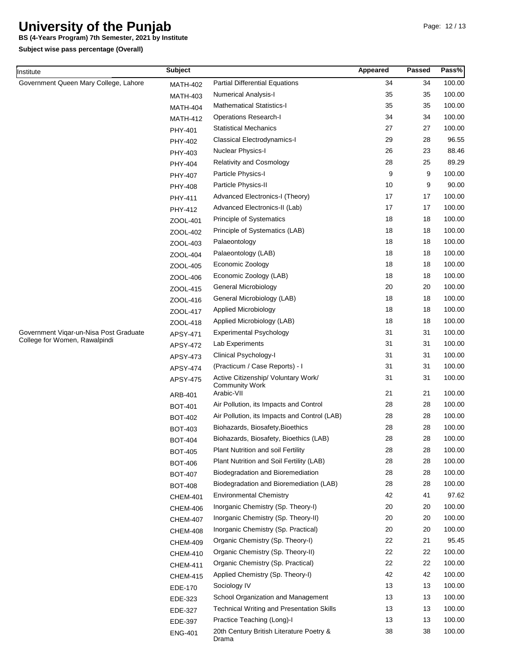**BS (4-Years Program) 7th Semester, 2021 by Institute**

| Institute                              | <b>Subject</b>  |                                                              | Appeared | Passed | Pass%  |
|----------------------------------------|-----------------|--------------------------------------------------------------|----------|--------|--------|
| Government Queen Mary College, Lahore  | <b>MATH-402</b> | <b>Partial Differential Equations</b>                        | 34       | 34     | 100.00 |
|                                        | MATH-403        | <b>Numerical Analysis-I</b>                                  | 35       | 35     | 100.00 |
|                                        | <b>MATH-404</b> | <b>Mathematical Statistics-I</b>                             | 35       | 35     | 100.00 |
|                                        | <b>MATH-412</b> | <b>Operations Research-I</b>                                 | 34       | 34     | 100.00 |
|                                        | PHY-401         | <b>Statistical Mechanics</b>                                 | 27       | 27     | 100.00 |
|                                        | PHY-402         | Classical Electrodynamics-I                                  | 29       | 28     | 96.55  |
|                                        | PHY-403         | Nuclear Physics-I                                            | 26       | 23     | 88.46  |
|                                        | PHY-404         | <b>Relativity and Cosmology</b>                              | 28       | 25     | 89.29  |
|                                        | PHY-407         | Particle Physics-I                                           | 9        | 9      | 100.00 |
|                                        | PHY-408         | Particle Physics-II                                          | 10       | 9      | 90.00  |
|                                        | PHY-411         | Advanced Electronics-I (Theory)                              | 17       | 17     | 100.00 |
|                                        | PHY-412         | Advanced Electronics-II (Lab)                                | 17       | 17     | 100.00 |
|                                        | ZOOL-401        | <b>Principle of Systematics</b>                              | 18       | 18     | 100.00 |
|                                        | ZOOL-402        | Principle of Systematics (LAB)                               | 18       | 18     | 100.00 |
|                                        | ZOOL-403        | Palaeontology                                                | 18       | 18     | 100.00 |
|                                        | ZOOL-404        | Palaeontology (LAB)                                          | 18       | 18     | 100.00 |
|                                        | ZOOL-405        | Economic Zoology                                             | 18       | 18     | 100.00 |
|                                        | ZOOL-406        | Economic Zoology (LAB)                                       | 18       | 18     | 100.00 |
|                                        | ZOOL-415        | General Microbiology                                         | 20       | 20     | 100.00 |
|                                        | ZOOL-416        | General Microbiology (LAB)                                   | 18       | 18     | 100.00 |
|                                        | ZOOL-417        | Applied Microbiology                                         | 18       | 18     | 100.00 |
|                                        | ZOOL-418        | Applied Microbiology (LAB)                                   | 18       | 18     | 100.00 |
| Government Vigar-un-Nisa Post Graduate | APSY-471        | <b>Experimental Psychology</b>                               | 31       | 31     | 100.00 |
| College for Women, Rawalpindi          | <b>APSY-472</b> | Lab Experiments                                              | 31       | 31     | 100.00 |
|                                        | APSY-473        | Clinical Psychology-I                                        | 31       | 31     | 100.00 |
|                                        | APSY-474        | (Practicum / Case Reports) - I                               | 31       | 31     | 100.00 |
|                                        | APSY-475        | Active Citizenship/ Voluntary Work/<br><b>Community Work</b> | 31       | 31     | 100.00 |
|                                        | ARB-401         | Arabic-VII                                                   | 21       | 21     | 100.00 |
|                                        | <b>BOT-401</b>  | Air Pollution, its Impacts and Control                       | 28       | 28     | 100.00 |
|                                        | <b>BOT-402</b>  | Air Pollution, its Impacts and Control (LAB)                 | 28       | 28     | 100.00 |
|                                        | <b>BOT-403</b>  | Biohazards, Biosafety, Bioethics                             | 28       | 28     | 100.00 |
|                                        | <b>BOT-404</b>  | Biohazards, Biosafety, Bioethics (LAB)                       | 28       | 28     | 100.00 |
|                                        | <b>BOT-405</b>  | <b>Plant Nutrition and soil Fertility</b>                    | 28       | 28     | 100.00 |
|                                        | <b>BOT-406</b>  | Plant Nutrition and Soil Fertility (LAB)                     | 28       | 28     | 100.00 |
|                                        | <b>BOT-407</b>  | Biodegradation and Bioremediation                            | 28       | 28     | 100.00 |
|                                        | <b>BOT-408</b>  | Biodegradation and Bioremediation (LAB)                      | 28       | 28     | 100.00 |
|                                        | <b>CHEM-401</b> | <b>Environmental Chemistry</b>                               | 42       | 41     | 97.62  |
|                                        | <b>CHEM-406</b> | Inorganic Chemistry (Sp. Theory-I)                           | 20       | 20     | 100.00 |
|                                        | <b>CHEM-407</b> | Inorganic Chemistry (Sp. Theory-II)                          | 20       | 20     | 100.00 |
|                                        | <b>CHEM-408</b> | Inorganic Chemistry (Sp. Practical)                          | 20       | 20     | 100.00 |
|                                        | <b>CHEM-409</b> | Organic Chemistry (Sp. Theory-I)                             | 22       | 21     | 95.45  |
|                                        | <b>CHEM-410</b> | Organic Chemistry (Sp. Theory-II)                            | 22       | 22     | 100.00 |
|                                        | <b>CHEM-411</b> | Organic Chemistry (Sp. Practical)                            | 22       | 22     | 100.00 |
|                                        | <b>CHEM-415</b> | Applied Chemistry (Sp. Theory-I)                             | 42       | 42     | 100.00 |
|                                        | EDE-170         | Sociology IV                                                 | 13       | 13     | 100.00 |
|                                        | EDE-323         | School Organization and Management                           | 13       | 13     | 100.00 |
|                                        | EDE-327         | <b>Technical Writing and Presentation Skills</b>             | 13       | 13     | 100.00 |
|                                        | EDE-397         | Practice Teaching (Long)-I                                   | 13       | 13     | 100.00 |
|                                        | <b>ENG-401</b>  | 20th Century British Literature Poetry &<br>Drama            | 38       | 38     | 100.00 |